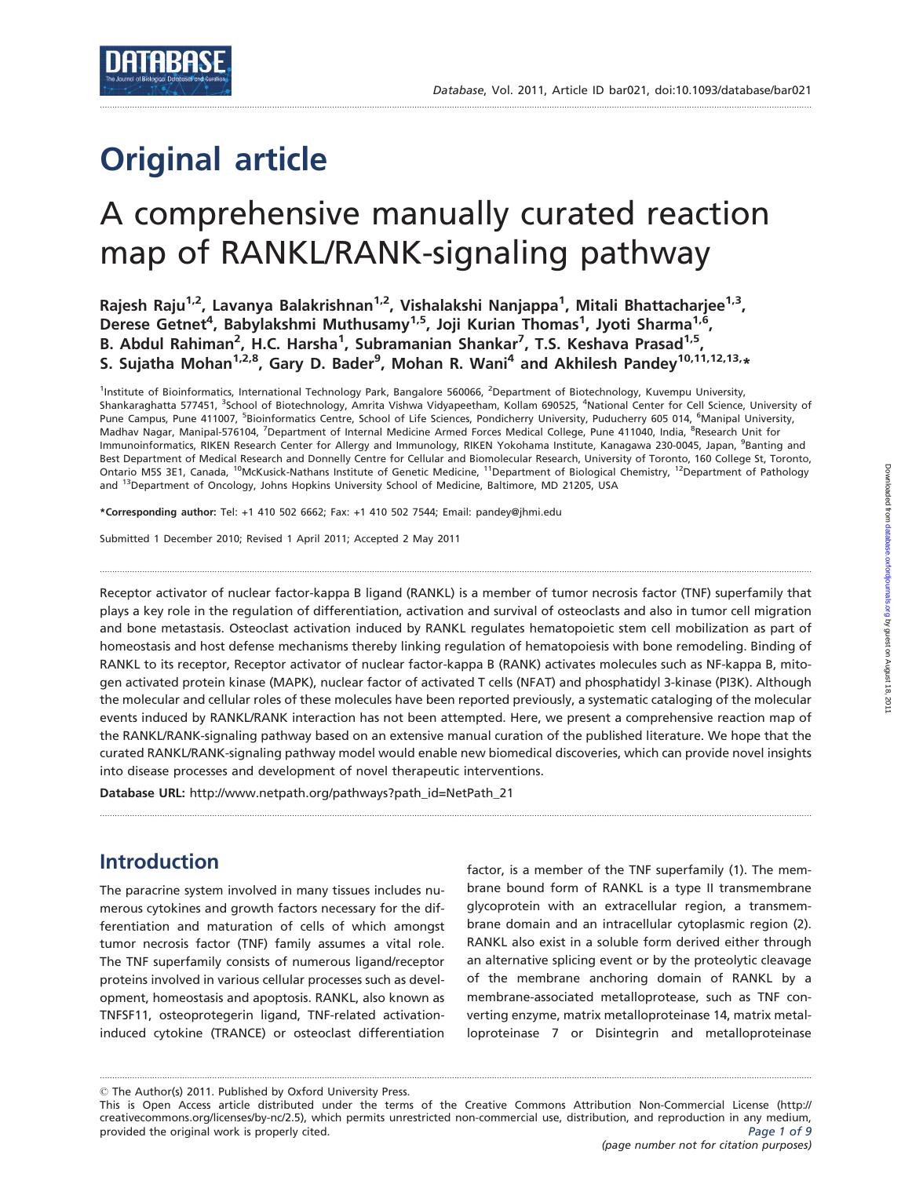# Original article

# A comprehensive manually curated reaction map of RANKL/RANK-signaling pathway

.............................................................................................................................................................................................................................................................................................

Rajesh Raju<sup>1,2</sup>, Lavanya Balakrishnan<sup>1,2</sup>, Vishalakshi Nanjappa<sup>1</sup>, Mitali Bhattacharjee<sup>1,3</sup>, Derese Getnet<sup>4</sup>, Babylakshmi Muthusamy<sup>1,5</sup>, Joji Kurian Thomas<sup>1</sup>, Jyoti Sharma<sup>1,6</sup>, B. Abdul Rahiman<sup>2</sup>, H.C. Harsha<sup>1</sup>, Subramanian Shankar<sup>7</sup>, T.S. Keshava Prasad<sup>1,5</sup>, S. Sujatha Mohan<sup>1,2,8</sup>, Gary D. Bader<sup>9</sup>, Mohan R. Wani<sup>4</sup> and Akhilesh Pandey<sup>10,11,12,13,</sup>\*

<sup>1</sup>Institute of Bioinformatics, International Technology Park, Bangalore 560066, <sup>2</sup>Department of Biotechnology, Kuvempu University, Shankaraghatta 577451, <sup>3</sup>School of Biotechnology, Amrita Vishwa Vidyapeetham, Kollam 690525, <sup>4</sup>National Center for Cell Science, University of Pune Campus, Pune 411007, <sup>5</sup>Bioinformatics Centre, School of Life Sciences, Pondicherry University, Puducherry 605 014, <sup>6</sup>Manipal University, Madhav Nagar, Manipal-576104, <sup>7</sup>Department of Internal Medicine Armed Forces Medical College, Pune 411040, India, <sup>8</sup>Research Unit for Immunoinformatics, RIKEN Research Center for Allergy and Immunology, RIKEN Yokohama Institute, Kanagawa 230-0045, Japan, <sup>9</sup>Banting and Best Department of Medical Research and Donnelly Centre for Cellular and Biomolecular Research, University of Toronto, 160 College St, Toronto, Ontario M5S 3E1, Canada, <sup>10</sup>McKusick-Nathans Institute of Genetic Medicine, <sup>11</sup>Department of Biological Chemistry, <sup>12</sup>Department of Pathology and <sup>13</sup>Department of Oncology, Johns Hopkins University School of Medicine, Baltimore, MD 21205, USA

\*Corresponding author: Tel: +1 410 502 6662; Fax: +1 410 502 7544; Email: pandey@jhmi.edu

Submitted 1 December 2010; Revised 1 April 2011; Accepted 2 May 2011

Receptor activator of nuclear factor-kappa B ligand (RANKL) is a member of tumor necrosis factor (TNF) superfamily that plays a key role in the regulation of differentiation, activation and survival of osteoclasts and also in tumor cell migration and bone metastasis. Osteoclast activation induced by RANKL regulates hematopoietic stem cell mobilization as part of homeostasis and host defense mechanisms thereby linking regulation of hematopoiesis with bone remodeling. Binding of RANKL to its receptor, Receptor activator of nuclear factor-kappa B (RANK) activates molecules such as NF-kappa B, mitogen activated protein kinase (MAPK), nuclear factor of activated T cells (NFAT) and phosphatidyl 3-kinase (PI3K). Although the molecular and cellular roles of these molecules have been reported previously, a systematic cataloging of the molecular events induced by RANKL/RANK interaction has not been attempted. Here, we present a comprehensive reaction map of the RANKL/RANK-signaling pathway based on an extensive manual curation of the published literature. We hope that the curated RANKL/RANK-signaling pathway model would enable new biomedical discoveries, which can provide novel insights into disease processes and development of novel therapeutic interventions.

.............................................................................................................................................................................................................................................................................................

.............................................................................................................................................................................................................................................................................................

Database URL: [http://www.netpath.org/pathways?path\\_id=NetPath\\_21](http://www.netpath.org/pathways?path_id=NetPath_21)

# Introduction

The paracrine system involved in many tissues includes numerous cytokines and growth factors necessary for the differentiation and maturation of cells of which amongst tumor necrosis factor (TNF) family assumes a vital role. The TNF superfamily consists of numerous ligand/receptor proteins involved in various cellular processes such as development, homeostasis and apoptosis. RANKL, also known as TNFSF11, osteoprotegerin ligand, TNF-related activationinduced cytokine (TRANCE) or osteoclast differentiation factor, is a member of the TNF superfamily (1). The membrane bound form of RANKL is a type II transmembrane glycoprotein with an extracellular region, a transmembrane domain and an intracellular cytoplasmic region (2). RANKL also exist in a soluble form derived either through an alternative splicing event or by the proteolytic cleavage of the membrane anchoring domain of RANKL by a membrane-associated metalloprotease, such as TNF converting enzyme, matrix metalloproteinase 14, matrix metalloproteinase 7 or Disintegrin and metalloproteinase

 $\copyright$  The Author(s) 2011. Published by Oxford University Press.

This is Open Access article distributed under the terms of the Creative Commons Attribution Non-Commercial License [\(http://](http://) creativecommons.org/licenses/by-nc/2.5), which permits unrestricted non-commercial use, distribution, and reproduction in any medium, provided the original work is properly cited. Page 1 of 9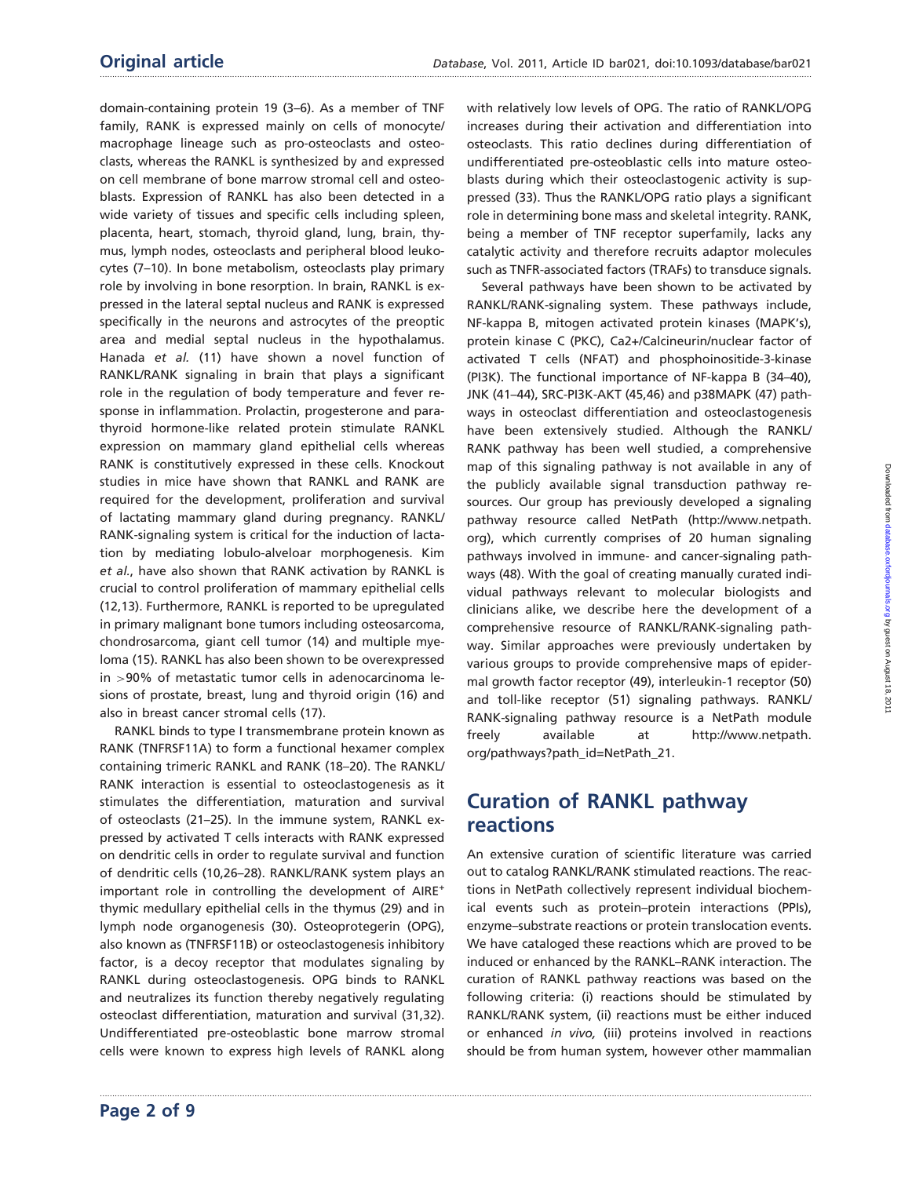domain-containing protein 19 (3–6). As a member of TNF family, RANK is expressed mainly on cells of monocyte/ macrophage lineage such as pro-osteoclasts and osteoclasts, whereas the RANKL is synthesized by and expressed on cell membrane of bone marrow stromal cell and osteoblasts. Expression of RANKL has also been detected in a wide variety of tissues and specific cells including spleen, placenta, heart, stomach, thyroid gland, lung, brain, thymus, lymph nodes, osteoclasts and peripheral blood leukocytes (7–10). In bone metabolism, osteoclasts play primary role by involving in bone resorption. In brain, RANKL is expressed in the lateral septal nucleus and RANK is expressed specifically in the neurons and astrocytes of the preoptic area and medial septal nucleus in the hypothalamus. Hanada et al. (11) have shown a novel function of RANKL/RANK signaling in brain that plays a significant role in the regulation of body temperature and fever response in inflammation. Prolactin, progesterone and parathyroid hormone-like related protein stimulate RANKL expression on mammary gland epithelial cells whereas RANK is constitutively expressed in these cells. Knockout studies in mice have shown that RANKL and RANK are required for the development, proliferation and survival of lactating mammary gland during pregnancy. RANKL/ RANK-signaling system is critical for the induction of lactation by mediating lobulo-alveloar morphogenesis. Kim et al., have also shown that RANK activation by RANKL is crucial to control proliferation of mammary epithelial cells (12,13). Furthermore, RANKL is reported to be upregulated in primary malignant bone tumors including osteosarcoma, chondrosarcoma, giant cell tumor (14) and multiple myeloma (15). RANKL has also been shown to be overexpressed in >90% of metastatic tumor cells in adenocarcinoma lesions of prostate, breast, lung and thyroid origin (16) and also in breast cancer stromal cells (17).

RANKL binds to type I transmembrane protein known as RANK (TNFRSF11A) to form a functional hexamer complex containing trimeric RANKL and RANK (18–20). The RANKL/ RANK interaction is essential to osteoclastogenesis as it stimulates the differentiation, maturation and survival of osteoclasts (21–25). In the immune system, RANKL expressed by activated T cells interacts with RANK expressed on dendritic cells in order to regulate survival and function of dendritic cells (10,26–28). RANKL/RANK system plays an important role in controlling the development of AIRE<sup>+</sup> thymic medullary epithelial cells in the thymus (29) and in lymph node organogenesis (30). Osteoprotegerin (OPG), also known as (TNFRSF11B) or osteoclastogenesis inhibitory factor, is a decoy receptor that modulates signaling by RANKL during osteoclastogenesis. OPG binds to RANKL and neutralizes its function thereby negatively regulating osteoclast differentiation, maturation and survival (31,32). Undifferentiated pre-osteoblastic bone marrow stromal cells were known to express high levels of RANKL along with relatively low levels of OPG. The ratio of RANKL/OPG increases during their activation and differentiation into osteoclasts. This ratio declines during differentiation of undifferentiated pre-osteoblastic cells into mature osteoblasts during which their osteoclastogenic activity is suppressed (33). Thus the RANKL/OPG ratio plays a significant role in determining bone mass and skeletal integrity. RANK, being a member of TNF receptor superfamily, lacks any catalytic activity and therefore recruits adaptor molecules such as TNFR-associated factors (TRAFs) to transduce signals.

Several pathways have been shown to be activated by RANKL/RANK-signaling system. These pathways include, NF-kappa B, mitogen activated protein kinases (MAPK's), protein kinase C (PKC), Ca2+/Calcineurin/nuclear factor of activated T cells (NFAT) and phosphoinositide-3-kinase (PI3K). The functional importance of NF-kappa B (34–40), JNK (41–44), SRC-PI3K-AKT (45,46) and p38MAPK (47) pathways in osteoclast differentiation and osteoclastogenesis have been extensively studied. Although the RANKL/ RANK pathway has been well studied, a comprehensive map of this signaling pathway is not available in any of the publicly available signal transduction pathway resources. Our group has previously developed a signaling pathway resource called NetPath ([http://www.netpath.](http://www.netpath.org) [org](http://www.netpath.org)), which currently comprises of 20 human signaling pathways involved in immune- and cancer-signaling pathways (48). With the goal of creating manually curated individual pathways relevant to molecular biologists and clinicians alike, we describe here the development of a comprehensive resource of RANKL/RANK-signaling pathway. Similar approaches were previously undertaken by various groups to provide comprehensive maps of epidermal growth factor receptor (49), interleukin-1 receptor (50) and toll-like receptor (51) signaling pathways. RANKL/ RANK-signaling pathway resource is a NetPath module freely available at [http://www.netpath.](http://www.netpath.org/pathways?path_id=NetPath_21) [org/pathways?path\\_id=NetPath\\_21](http://www.netpath.org/pathways?path_id=NetPath_21).

# Curation of RANKL pathway reactions

.............................................................................................................................................................................................................................................................................................

An extensive curation of scientific literature was carried out to catalog RANKL/RANK stimulated reactions. The reactions in NetPath collectively represent individual biochemical events such as protein–protein interactions (PPIs), enzyme–substrate reactions or protein translocation events. We have cataloged these reactions which are proved to be induced or enhanced by the RANKL–RANK interaction. The curation of RANKL pathway reactions was based on the following criteria: (i) reactions should be stimulated by RANKL/RANK system, (ii) reactions must be either induced or enhanced in vivo, (iii) proteins involved in reactions should be from human system, however other mammalian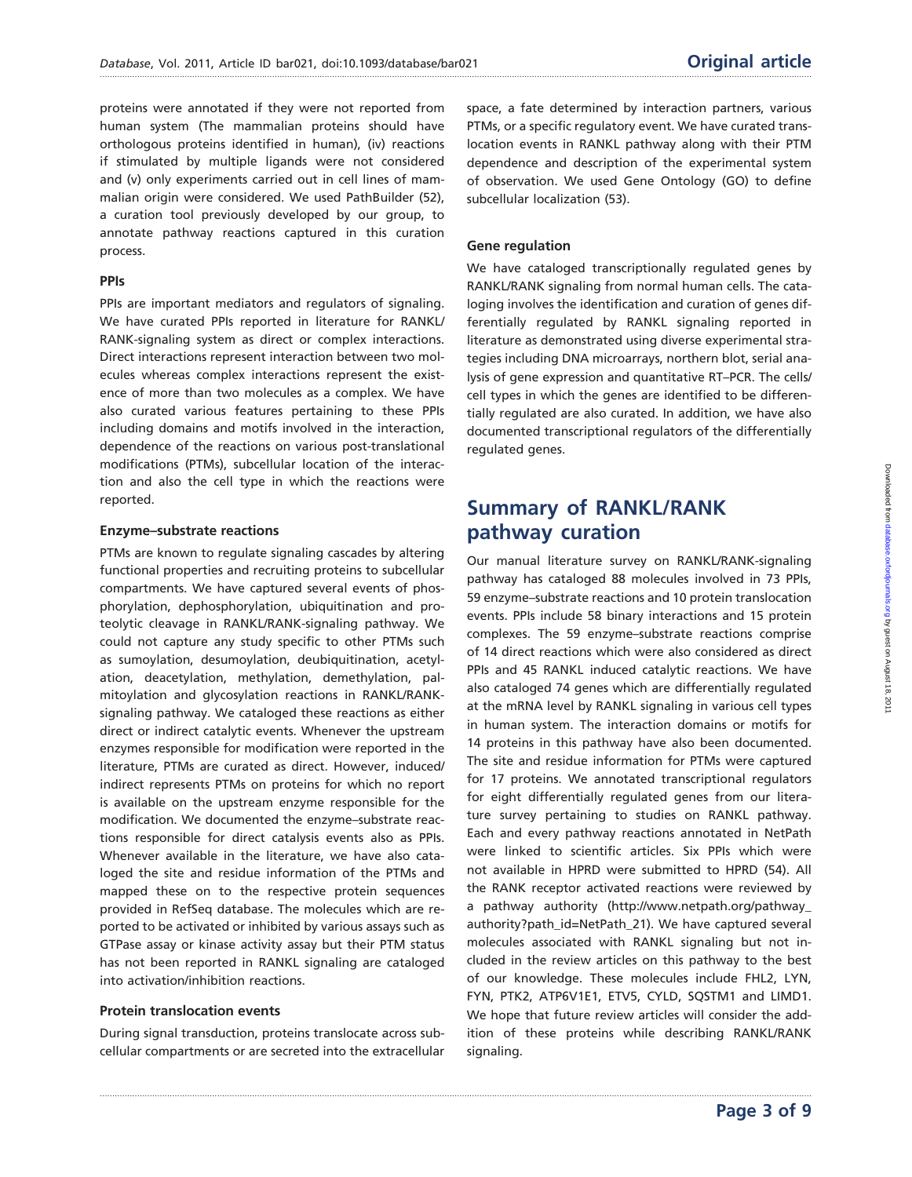proteins were annotated if they were not reported from human system (The mammalian proteins should have orthologous proteins identified in human), (iv) reactions if stimulated by multiple ligands were not considered and (v) only experiments carried out in cell lines of mammalian origin were considered. We used PathBuilder (52), a curation tool previously developed by our group, to annotate pathway reactions captured in this curation process.

### PPIs

PPIs are important mediators and regulators of signaling. We have curated PPIs reported in literature for RANKL/ RANK-signaling system as direct or complex interactions. Direct interactions represent interaction between two molecules whereas complex interactions represent the existence of more than two molecules as a complex. We have also curated various features pertaining to these PPIs including domains and motifs involved in the interaction, dependence of the reactions on various post-translational modifications (PTMs), subcellular location of the interaction and also the cell type in which the reactions were reported.

#### Enzyme–substrate reactions

PTMs are known to regulate signaling cascades by altering functional properties and recruiting proteins to subcellular compartments. We have captured several events of phosphorylation, dephosphorylation, ubiquitination and proteolytic cleavage in RANKL/RANK-signaling pathway. We could not capture any study specific to other PTMs such as sumoylation, desumoylation, deubiquitination, acetylation, deacetylation, methylation, demethylation, palmitoylation and glycosylation reactions in RANKL/RANKsignaling pathway. We cataloged these reactions as either direct or indirect catalytic events. Whenever the upstream enzymes responsible for modification were reported in the literature, PTMs are curated as direct. However, induced/ indirect represents PTMs on proteins for which no report is available on the upstream enzyme responsible for the modification. We documented the enzyme–substrate reactions responsible for direct catalysis events also as PPIs. Whenever available in the literature, we have also cataloged the site and residue information of the PTMs and mapped these on to the respective protein sequences provided in RefSeq database. The molecules which are reported to be activated or inhibited by various assays such as GTPase assay or kinase activity assay but their PTM status has not been reported in RANKL signaling are cataloged into activation/inhibition reactions.

#### Protein translocation events

During signal transduction, proteins translocate across subcellular compartments or are secreted into the extracellular

.............................................................................................................................................................................................................................................................................................

space, a fate determined by interaction partners, various PTMs, or a specific regulatory event. We have curated translocation events in RANKL pathway along with their PTM dependence and description of the experimental system of observation. We used Gene Ontology (GO) to define subcellular localization (53).

#### Gene regulation

We have cataloged transcriptionally regulated genes by RANKL/RANK signaling from normal human cells. The cataloging involves the identification and curation of genes differentially regulated by RANKL signaling reported in literature as demonstrated using diverse experimental strategies including DNA microarrays, northern blot, serial analysis of gene expression and quantitative RT–PCR. The cells/ cell types in which the genes are identified to be differentially regulated are also curated. In addition, we have also documented transcriptional regulators of the differentially regulated genes.

### Summary of RANKL/RANK pathway curation

Our manual literature survey on RANKL/RANK-signaling pathway has cataloged 88 molecules involved in 73 PPIs, 59 enzyme–substrate reactions and 10 protein translocation events. PPIs include 58 binary interactions and 15 protein complexes. The 59 enzyme–substrate reactions comprise of 14 direct reactions which were also considered as direct PPIs and 45 RANKL induced catalytic reactions. We have also cataloged 74 genes which are differentially regulated at the mRNA level by RANKL signaling in various cell types in human system. The interaction domains or motifs for 14 proteins in this pathway have also been documented. The site and residue information for PTMs were captured for 17 proteins. We annotated transcriptional regulators for eight differentially regulated genes from our literature survey pertaining to studies on RANKL pathway. Each and every pathway reactions annotated in NetPath were linked to scientific articles. Six PPIs which were not available in HPRD were submitted to HPRD (54). All the RANK receptor activated reactions were reviewed by a pathway authority ([http://www.netpath.org/pathway\\_](http://www.netpath.org/pathway_authority?path_id=NetPath_21) [authority?path\\_id=NetPath\\_21](http://www.netpath.org/pathway_authority?path_id=NetPath_21)). We have captured several molecules associated with RANKL signaling but not included in the review articles on this pathway to the best of our knowledge. These molecules include FHL2, LYN, FYN, PTK2, ATP6V1E1, ETV5, CYLD, SQSTM1 and LIMD1. We hope that future review articles will consider the addition of these proteins while describing RANKL/RANK signaling.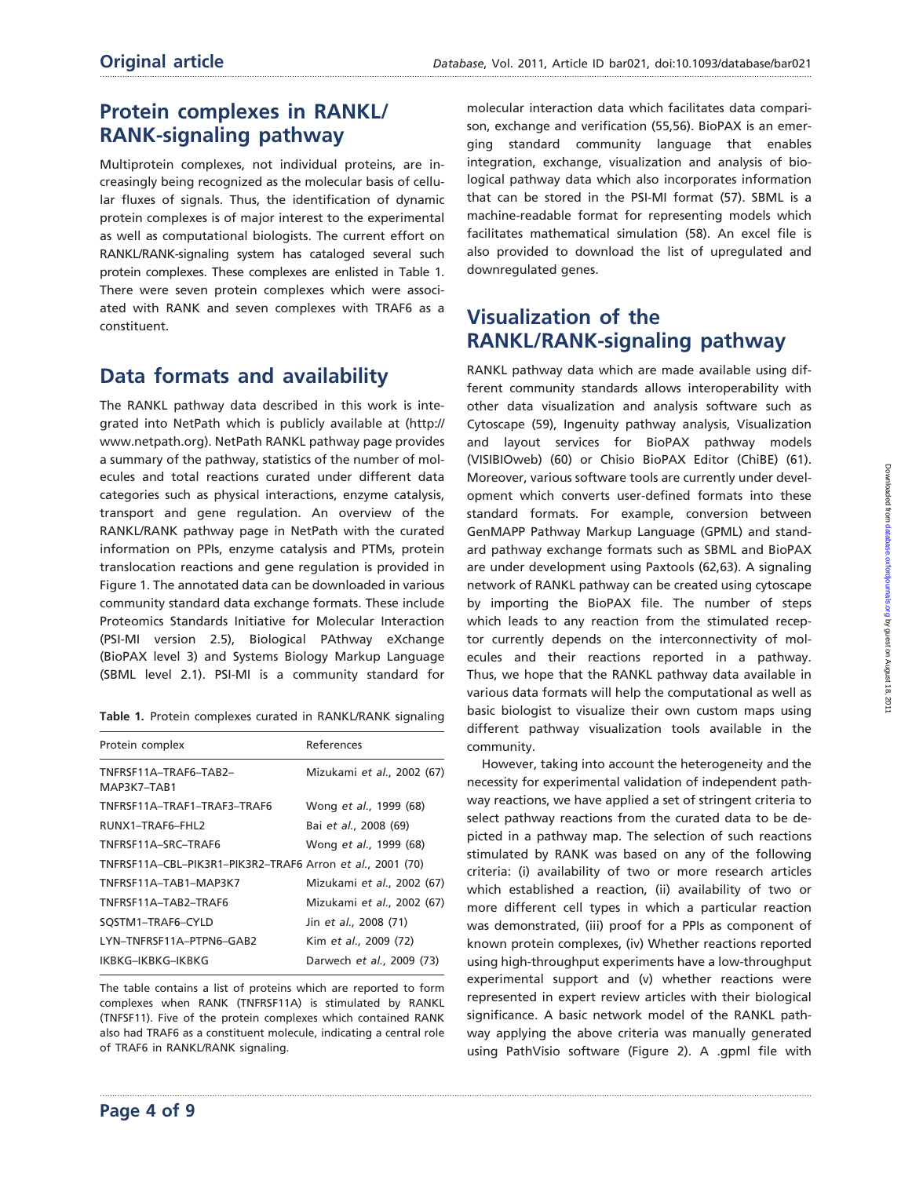# Protein complexes in RANKL/ RANK-signaling pathway

Multiprotein complexes, not individual proteins, are increasingly being recognized as the molecular basis of cellular fluxes of signals. Thus, the identification of dynamic protein complexes is of major interest to the experimental as well as computational biologists. The current effort on RANKL/RANK-signaling system has cataloged several such protein complexes. These complexes are enlisted in Table 1. There were seven protein complexes which were associated with RANK and seven complexes with TRAF6 as a constituent.

# Data formats and availability

The RANKL pathway data described in this work is integrated into NetPath which is publicly available at [\(http://](http://www.netpath.org) [www.netpath.org](http://www.netpath.org)). NetPath RANKL pathway page provides a summary of the pathway, statistics of the number of molecules and total reactions curated under different data categories such as physical interactions, enzyme catalysis, transport and gene regulation. An overview of the RANKL/RANK pathway page in NetPath with the curated information on PPIs, enzyme catalysis and PTMs, protein translocation reactions and gene regulation is provided in Figure 1. The annotated data can be downloaded in various community standard data exchange formats. These include Proteomics Standards Initiative for Molecular Interaction (PSI-MI version 2.5), Biological PAthway eXchange (BioPAX level 3) and Systems Biology Markup Language (SBML level 2.1). PSI-MI is a community standard for

Table 1. Protein complexes curated in RANKL/RANK signaling

| Protein complex                                           | References                 |
|-----------------------------------------------------------|----------------------------|
| TNFRSF11A-TRAF6-TAB2-<br>MAP3K7-TAR1                      | Mizukami et al., 2002 (67) |
| TNFRSF11A-TRAF1-TRAF3-TRAF6                               | Wong et al., 1999 (68)     |
| RUNX1-TRAF6-FHL2                                          | Bai et al., 2008 (69)      |
| TNFRSF11A-SRC-TRAF6                                       | Wong et al., 1999 (68)     |
| TNFRSF11A-CBL-PIK3R1-PIK3R2-TRAF6 Arron et al., 2001 (70) |                            |
| TNFRSF11A-TAB1-MAP3K7                                     | Mizukami et al., 2002 (67) |
| TNFRSF11A-TAR2-TRAF6                                      | Mizukami et al., 2002 (67) |
| SQSTM1-TRAF6-CYLD                                         | Jin et al., 2008 (71)      |
| IYN-TNFRSF11A-PTPN6-GAR2                                  | Kim et al., 2009 (72)      |
| IKRKG–IKRKG–IKRKG                                         | Darwech et al., 2009 (73)  |

The table contains a list of proteins which are reported to form complexes when RANK (TNFRSF11A) is stimulated by RANKL (TNFSF11). Five of the protein complexes which contained RANK also had TRAF6 as a constituent molecule, indicating a central role of TRAF6 in RANKL/RANK signaling.

.............................................................................................................................................................................................................................................................................................

molecular interaction data which facilitates data comparison, exchange and verification (55,56). BioPAX is an emerging standard community language that enables integration, exchange, visualization and analysis of biological pathway data which also incorporates information that can be stored in the PSI-MI format (57). SBML is a machine-readable format for representing models which facilitates mathematical simulation (58). An excel file is also provided to download the list of upregulated and downregulated genes.

# Visualization of the RANKL/RANK-signaling pathway

RANKL pathway data which are made available using different community standards allows interoperability with other data visualization and analysis software such as Cytoscape (59), Ingenuity pathway analysis, Visualization and layout services for BioPAX pathway models (VISIBIOweb) (60) or Chisio BioPAX Editor (ChiBE) (61). Moreover, various software tools are currently under development which converts user-defined formats into these standard formats. For example, conversion between GenMAPP Pathway Markup Language (GPML) and standard pathway exchange formats such as SBML and BioPAX are under development using Paxtools (62,63). A signaling network of RANKL pathway can be created using cytoscape by importing the BioPAX file. The number of steps which leads to any reaction from the stimulated receptor currently depends on the interconnectivity of molecules and their reactions reported in a pathway. Thus, we hope that the RANKL pathway data available in various data formats will help the computational as well as basic biologist to visualize their own custom maps using different pathway visualization tools available in the community.

However, taking into account the heterogeneity and the necessity for experimental validation of independent pathway reactions, we have applied a set of stringent criteria to select pathway reactions from the curated data to be depicted in a pathway map. The selection of such reactions stimulated by RANK was based on any of the following criteria: (i) availability of two or more research articles which established a reaction, (ii) availability of two or more different cell types in which a particular reaction was demonstrated, (iii) proof for a PPIs as component of known protein complexes, (iv) Whether reactions reported using high-throughput experiments have a low-throughput experimental support and (v) whether reactions were represented in expert review articles with their biological significance. A basic network model of the RANKL pathway applying the above criteria was manually generated using PathVisio software (Figure 2). A .gpml file with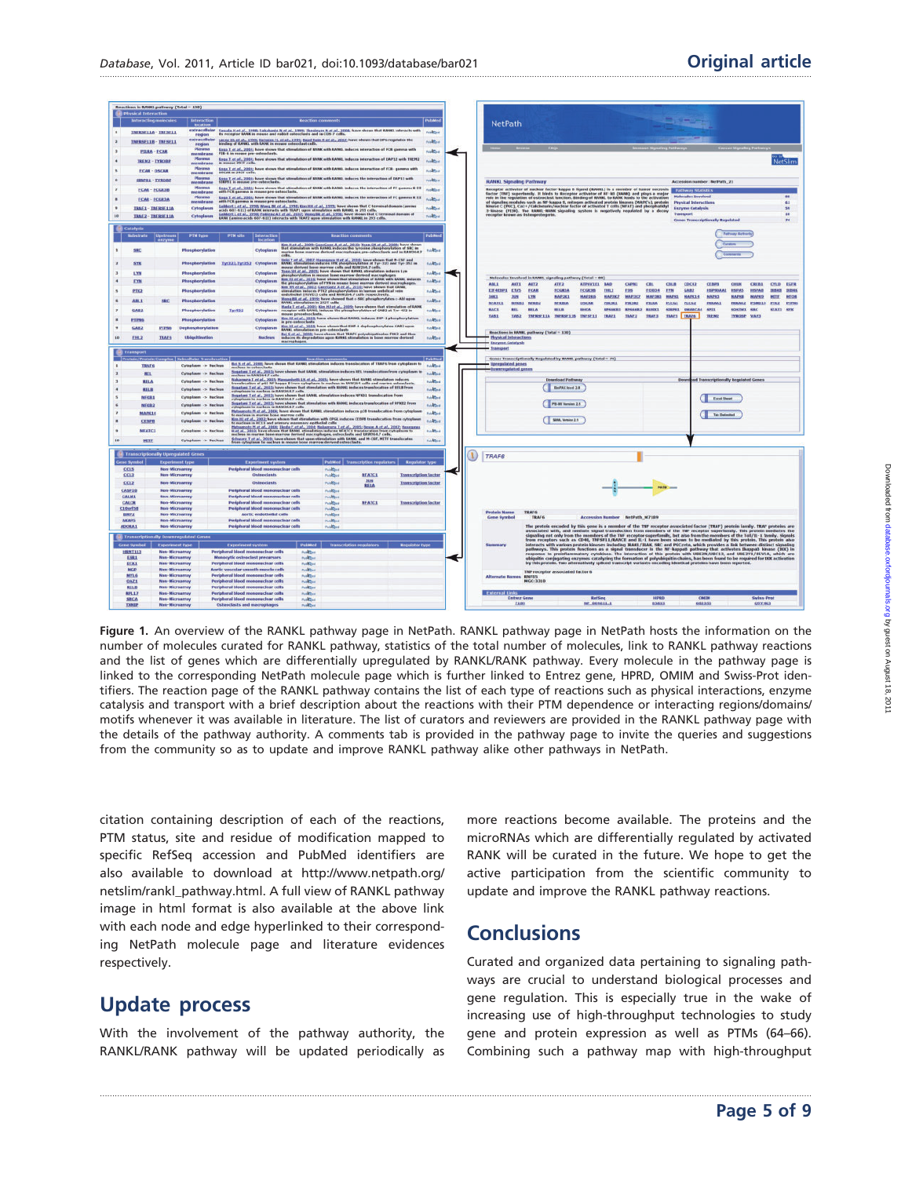

Figure 1. An overview of the RANKL pathway page in NetPath. RANKL pathway page in NetPath hosts the information on the number of molecules curated for RANKL pathway, statistics of the total number of molecules, link to RANKL pathway reactions and the list of genes which are differentially upregulated by RANKL/RANK pathway. Every molecule in the pathway page is linked to the corresponding NetPath molecule page which is further linked to Entrez gene, HPRD, OMIM and Swiss-Prot identifiers. The reaction page of the RANKL pathway contains the list of each type of reactions such as physical interactions, enzyme catalysis and transport with a brief description about the reactions with their PTM dependence or interacting regions/domains/ motifs whenever it was available in literature. The list of curators and reviewers are provided in the RANKL pathway page with the details of the pathway authority. A comments tab is provided in the pathway page to invite the queries and suggestions from the community so as to update and improve RANKL pathway alike other pathways in NetPath.

.............................................................................................................................................................................................................................................................................................

citation containing description of each of the reactions, PTM status, site and residue of modification mapped to specific RefSeq accession and PubMed identifiers are also available to download at [http://www.netpath.org/](http://www.netpath.org/netslim/rankl_pathway.html) [netslim/rankl\\_pathway.html.](http://www.netpath.org/netslim/rankl_pathway.html) A full view of RANKL pathway image in html format is also available at the above link with each node and edge hyperlinked to their corresponding NetPath molecule page and literature evidences respectively.

# Update process

With the involvement of the pathway authority, the RANKL/RANK pathway will be updated periodically as more reactions become available. The proteins and the microRNAs which are differentially regulated by activated RANK will be curated in the future. We hope to get the active participation from the scientific community to update and improve the RANKL pathway reactions.

# **Conclusions**

Curated and organized data pertaining to signaling pathways are crucial to understand biological processes and gene regulation. This is especially true in the wake of increasing use of high-throughput technologies to study gene and protein expression as well as PTMs (64–66). Combining such a pathway map with high-throughput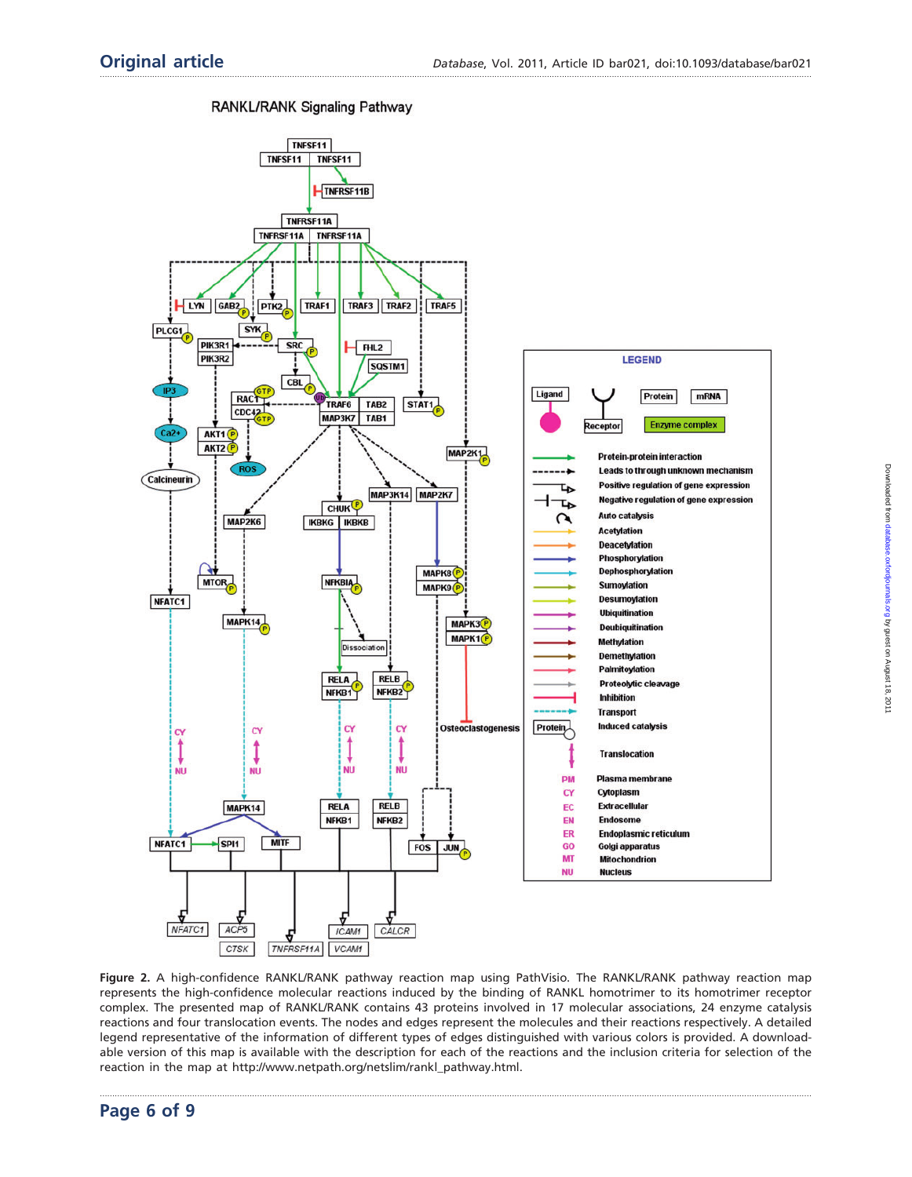



Figure 2. A high-confidence RANKL/RANK pathway reaction map using PathVisio. The RANKL/RANK pathway reaction map represents the high-confidence molecular reactions induced by the binding of RANKL homotrimer to its homotrimer receptor complex. The presented map of RANKL/RANK contains 43 proteins involved in 17 molecular associations, 24 enzyme catalysis reactions and four translocation events. The nodes and edges represent the molecules and their reactions respectively. A detailed legend representative of the information of different types of edges distinguished with various colors is provided. A downloadable version of this map is available with the description for each of the reactions and the inclusion criteria for selection of the reaction in the map at [http://www.netpath.org/netslim/rankl\\_pathway.html.](http://www.netpath.org/netslim/rankl_pathway.html)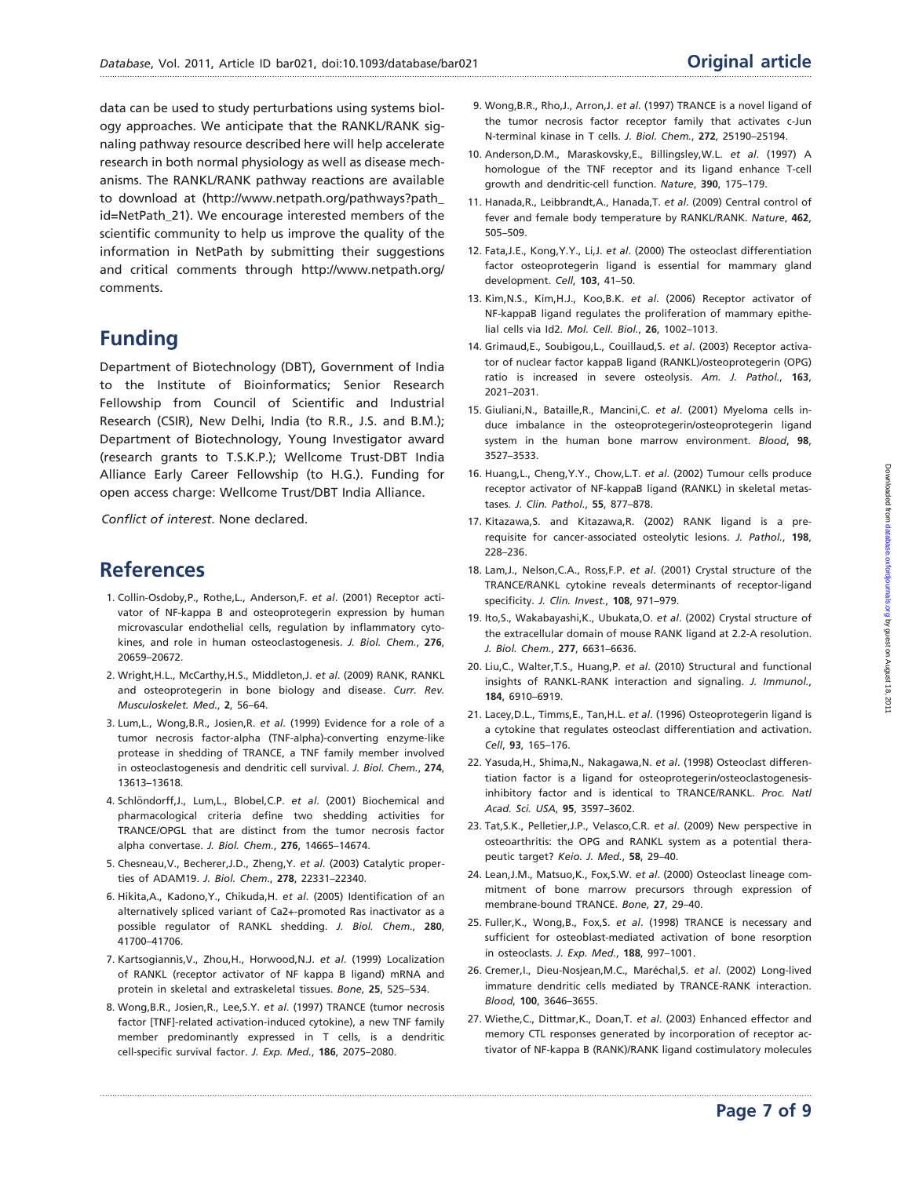data can be used to study perturbations using systems biology approaches. We anticipate that the RANKL/RANK signaling pathway resource described here will help accelerate research in both normal physiology as well as disease mechanisms. The RANKL/RANK pathway reactions are available to download at ([http://www.netpath.org/pathways?path\\_](http://www.netpath.org/pathways?path_id=NetPath_21) [id=NetPath\\_21\)](http://www.netpath.org/pathways?path_id=NetPath_21). We encourage interested members of the scientific community to help us improve the quality of the information in NetPath by submitting their suggestions and critical comments through [http://www.netpath.org/](http://www.netpath.org/comments) [comments](http://www.netpath.org/comments).

## Funding

Department of Biotechnology (DBT), Government of India to the Institute of Bioinformatics; Senior Research Fellowship from Council of Scientific and Industrial Research (CSIR), New Delhi, India (to R.R., J.S. and B.M.); Department of Biotechnology, Young Investigator award (research grants to T.S.K.P.); Wellcome Trust-DBT India Alliance Early Career Fellowship (to H.G.). Funding for open access charge: Wellcome Trust/DBT India Alliance.

Conflict of interest. None declared.

## **References**

- 1. Collin-Osdoby,P., Rothe,L., Anderson,F. et al. (2001) Receptor activator of NF-kappa B and osteoprotegerin expression by human microvascular endothelial cells, regulation by inflammatory cytokines, and role in human osteoclastogenesis. J. Biol. Chem., 276, 20659–20672.
- 2. Wright,H.L., McCarthy,H.S., Middleton,J. et al. (2009) RANK, RANKL and osteoprotegerin in bone biology and disease. Curr. Rev. Musculoskelet. Med., 2, 56–64.
- 3. Lum,L., Wong,B.R., Josien,R. et al. (1999) Evidence for a role of a tumor necrosis factor-alpha (TNF-alpha)-converting enzyme-like protease in shedding of TRANCE, a TNF family member involved in osteoclastogenesis and dendritic cell survival. J. Biol. Chem., 274, 13613–13618.
- 4. Schlöndorff,J., Lum,L., Blobel,C.P. et al. (2001) Biochemical and pharmacological criteria define two shedding activities for TRANCE/OPGL that are distinct from the tumor necrosis factor alpha convertase. J. Biol. Chem., 276, 14665–14674.
- 5. Chesneau,V., Becherer,J.D., Zheng,Y. et al. (2003) Catalytic properties of ADAM19. J. Biol. Chem., 278, 22331–22340.
- 6. Hikita,A., Kadono,Y., Chikuda,H. et al. (2005) Identification of an alternatively spliced variant of Ca2+-promoted Ras inactivator as a possible regulator of RANKL shedding. J. Biol. Chem., 280, 41700–41706.
- 7. Kartsogiannis,V., Zhou,H., Horwood,N.J. et al. (1999) Localization of RANKL (receptor activator of NF kappa B ligand) mRNA and protein in skeletal and extraskeletal tissues. Bone, 25, 525–534.
- 8. Wong,B.R., Josien,R., Lee,S.Y. et al. (1997) TRANCE (tumor necrosis factor [TNF]-related activation-induced cytokine), a new TNF family member predominantly expressed in T cells, is a dendritic cell-specific survival factor. J. Exp. Med., 186, 2075–2080.

- 9. Wong,B.R., Rho,J., Arron,J. et al. (1997) TRANCE is a novel ligand of the tumor necrosis factor receptor family that activates c-Jun N-terminal kinase in T cells. J. Biol. Chem., 272, 25190–25194.
- 10. Anderson,D.M., Maraskovsky,E., Billingsley,W.L. et al. (1997) A homologue of the TNF receptor and its ligand enhance T-cell growth and dendritic-cell function. Nature, 390, 175–179.
- 11. Hanada,R., Leibbrandt,A., Hanada,T. et al. (2009) Central control of fever and female body temperature by RANKL/RANK. Nature, 462, 505–509.
- 12. Fata,J.E., Kong,Y.Y., Li,J. et al. (2000) The osteoclast differentiation factor osteoprotegerin ligand is essential for mammary gland development. Cell, 103, 41–50.
- 13. Kim,N.S., Kim,H.J., Koo,B.K. et al. (2006) Receptor activator of NF-kappaB ligand regulates the proliferation of mammary epithelial cells via Id2. Mol. Cell. Biol., 26, 1002–1013.
- 14. Grimaud,E., Soubigou,L., Couillaud,S. et al. (2003) Receptor activator of nuclear factor kappaB ligand (RANKL)/osteoprotegerin (OPG) ratio is increased in severe osteolysis. Am. J. Pathol., 163, 2021–2031.
- 15. Giuliani,N., Bataille,R., Mancini,C. et al. (2001) Myeloma cells induce imbalance in the osteoprotegerin/osteoprotegerin ligand system in the human bone marrow environment. Blood, 98, 3527–3533.
- 16. Huang,L., Cheng,Y.Y., Chow,L.T. et al. (2002) Tumour cells produce receptor activator of NF-kappaB ligand (RANKL) in skeletal metastases. J. Clin. Pathol., 55, 877–878.
- 17. Kitazawa,S. and Kitazawa,R. (2002) RANK ligand is a prerequisite for cancer-associated osteolytic lesions. J. Pathol., 198, 228–236.
- 18. Lam,J., Nelson,C.A., Ross,F.P. et al. (2001) Crystal structure of the TRANCE/RANKL cytokine reveals determinants of receptor-ligand specificity. J. Clin. Invest., 108, 971-979.
- 19. Ito,S., Wakabayashi,K., Ubukata,O. et al. (2002) Crystal structure of the extracellular domain of mouse RANK ligand at 2.2-A resolution. J. Biol. Chem., 277, 6631–6636.
- 20. Liu,C., Walter,T.S., Huang,P. et al. (2010) Structural and functional insights of RANKL-RANK interaction and signaling. J. Immunol., 184, 6910–6919.
- 21. Lacey, D.L., Timms, E., Tan, H.L. et al. (1996) Osteoprotegerin ligand is a cytokine that regulates osteoclast differentiation and activation. Cell, 93, 165–176.
- 22. Yasuda, H., Shima, N., Nakagawa, N. et al. (1998) Osteoclast differentiation factor is a ligand for osteoprotegerin/osteoclastogenesisinhibitory factor and is identical to TRANCE/RANKL. Proc. Natl Acad. Sci. USA, 95, 3597–3602.
- 23. Tat, S.K., Pelletier, J.P., Velasco, C.R. et al. (2009) New perspective in osteoarthritis: the OPG and RANKL system as a potential therapeutic target? Keio. J. Med., 58, 29–40.
- 24. Lean, J.M., Matsuo, K., Fox, S.W. et al. (2000) Osteoclast lineage commitment of bone marrow precursors through expression of membrane-bound TRANCE. Bone, 27, 29–40.
- 25. Fuller, K., Wong, B., Fox, S. et al. (1998) TRANCE is necessary and sufficient for osteoblast-mediated activation of bone resorption in osteoclasts. J. Exp. Med., 188, 997–1001.
- 26. Cremer, I., Dieu-Nosjean, M.C., Maréchal, S. et al. (2002) Long-lived immature dendritic cells mediated by TRANCE-RANK interaction. Blood, 100, 3646–3655.
- 27. Wiethe, C., Dittmar, K., Doan, T. et al. (2003) Enhanced effector and memory CTL responses generated by incorporation of receptor activator of NF-kappa B (RANK)/RANK ligand costimulatory molecules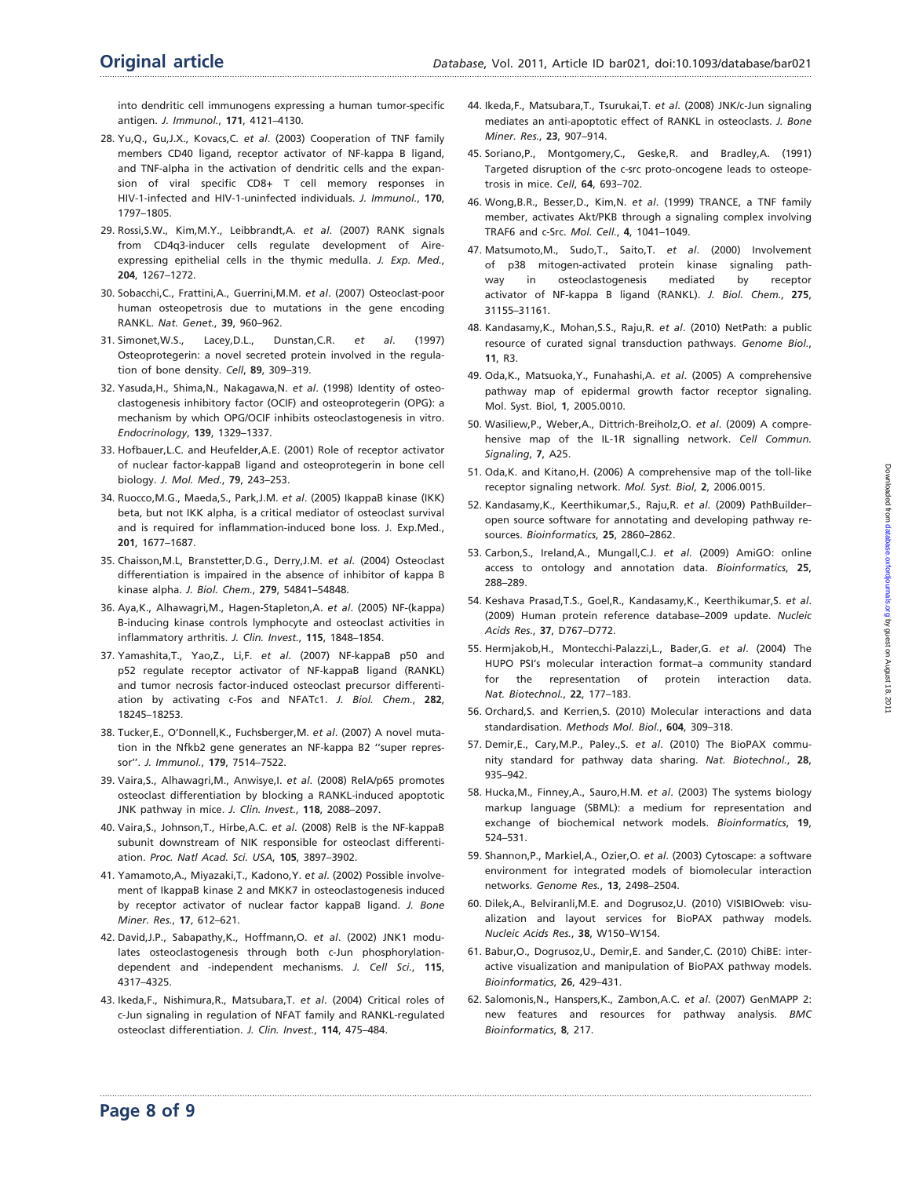into dendritic cell immunogens expressing a human tumor-specific antigen. J. Immunol., 171, 4121–4130.

- 28. Yu,Q., Gu,J.X., Kovacs,C. et al. (2003) Cooperation of TNF family members CD40 ligand, receptor activator of NF-kappa B ligand, and TNF-alpha in the activation of dendritic cells and the expansion of viral specific CD8+ T cell memory responses in HIV-1-infected and HIV-1-uninfected individuals. J. Immunol., 170, 1797–1805.
- 29. Rossi,S.W., Kim,M.Y., Leibbrandt,A. et al. (2007) RANK signals from CD4q3-inducer cells regulate development of Aireexpressing epithelial cells in the thymic medulla. J. Exp. Med., 204, 1267–1272.
- 30. Sobacchi,C., Frattini,A., Guerrini,M.M. et al. (2007) Osteoclast-poor human osteopetrosis due to mutations in the gene encoding RANKL. Nat. Genet., 39, 960–962.
- 31. Simonet,W.S., Lacey,D.L., Dunstan,C.R. et al. (1997) Osteoprotegerin: a novel secreted protein involved in the regulation of bone density. Cell, 89, 309–319.
- 32. Yasuda,H., Shima,N., Nakagawa,N. et al. (1998) Identity of osteoclastogenesis inhibitory factor (OCIF) and osteoprotegerin (OPG): a mechanism by which OPG/OCIF inhibits osteoclastogenesis in vitro. Endocrinology, 139, 1329–1337.
- 33. Hofbauer,L.C. and Heufelder,A.E. (2001) Role of receptor activator of nuclear factor-kappaB ligand and osteoprotegerin in bone cell biology. J. Mol. Med., 79, 243–253.
- 34. Ruocco,M.G., Maeda,S., Park,J.M. et al. (2005) IkappaB kinase (IKK) beta, but not IKK alpha, is a critical mediator of osteoclast survival and is required for inflammation-induced bone loss. J. Exp.Med., 201, 1677–1687.
- 35. Chaisson,M.L, Branstetter,D.G., Derry,J.M. et al. (2004) Osteoclast differentiation is impaired in the absence of inhibitor of kappa B kinase alpha. J. Biol. Chem., 279, 54841–54848.
- 36. Aya,K., Alhawagri,M., Hagen-Stapleton,A. et al. (2005) NF-(kappa) B-inducing kinase controls lymphocyte and osteoclast activities in inflammatory arthritis. J. Clin. Invest., 115, 1848–1854.
- 37. Yamashita,T., Yao,Z., Li,F. et al. (2007) NF-kappaB p50 and p52 regulate receptor activator of NF-kappaB ligand (RANKL) and tumor necrosis factor-induced osteoclast precursor differentiation by activating c-Fos and NFATc1. J. Biol. Chem., 282, 18245–18253.
- 38. Tucker,E., O'Donnell,K., Fuchsberger,M. et al. (2007) A novel mutation in the Nfkb2 gene generates an NF-kappa B2 ''super repressor''. J. Immunol., 179, 7514–7522.
- 39. Vaira, S., Alhawagri, M., Anwisye, I. et al. (2008) RelA/p65 promotes osteoclast differentiation by blocking a RANKL-induced apoptotic JNK pathway in mice. J. Clin. Invest., 118, 2088-2097.
- 40. Vaira,S., Johnson,T., Hirbe,A.C. et al. (2008) RelB is the NF-kappaB subunit downstream of NIK responsible for osteoclast differentiation. Proc. Natl Acad. Sci. USA, 105, 3897–3902.
- 41. Yamamoto,A., Miyazaki,T., Kadono,Y. et al. (2002) Possible involvement of IkappaB kinase 2 and MKK7 in osteoclastogenesis induced by receptor activator of nuclear factor kappaB ligand. J. Bone Miner. Res., 17, 612–621.
- 42. David,J.P., Sabapathy,K., Hoffmann,O. et al. (2002) JNK1 modulates osteoclastogenesis through both c-Jun phosphorylationdependent and -independent mechanisms. J. Cell Sci., 115, 4317–4325.
- 43. Ikeda,F., Nishimura,R., Matsubara,T. et al. (2004) Critical roles of c-Jun signaling in regulation of NFAT family and RANKL-regulated osteoclast differentiation. J. Clin. Invest., 114, 475–484.

- 44. Ikeda,F., Matsubara,T., Tsurukai,T. et al. (2008) JNK/c-Jun signaling mediates an anti-apoptotic effect of RANKL in osteoclasts. J. Bone Miner. Res., 23, 907–914.
- 45. Soriano,P., Montgomery,C., Geske,R. and Bradley,A. (1991) Targeted disruption of the c-src proto-oncogene leads to osteopetrosis in mice. Cell, 64, 693–702.
- 46. Wong,B.R., Besser,D., Kim,N. et al. (1999) TRANCE, a TNF family member, activates Akt/PKB through a signaling complex involving TRAF6 and c-Src. Mol. Cell., 4, 1041–1049.
- 47. Matsumoto,M., Sudo,T., Saito,T. et al. (2000) Involvement of p38 mitogen-activated protein kinase signaling pathway in osteoclastogenesis mediated by receptor activator of NF-kappa B ligand (RANKL). J. Biol. Chem., 275, 31155–31161.
- 48. Kandasamy, K., Mohan, S.S., Raju, R. et al. (2010) NetPath: a public resource of curated signal transduction pathways. Genome Biol., 11, R3.
- 49. Oda,K., Matsuoka,Y., Funahashi,A. et al. (2005) A comprehensive pathway map of epidermal growth factor receptor signaling. Mol. Syst. Biol, 1, 2005.0010.
- 50. Wasiliew,P., Weber,A., Dittrich-Breiholz,O. et al. (2009) A comprehensive map of the IL-1R signalling network. Cell Commun. Signaling, 7, A25.
- 51. Oda,K. and Kitano,H. (2006) A comprehensive map of the toll-like receptor signaling network. Mol. Syst. Biol, 2, 2006.0015.
- 52. Kandasamy,K., Keerthikumar,S., Raju,R. et al. (2009) PathBuilder– open source software for annotating and developing pathway resources. Bioinformatics, 25, 2860–2862.
- 53. Carbon,S., Ireland,A., Mungall,C.J. et al. (2009) AmiGO: online access to ontology and annotation data. Bioinformatics, 25, 288–289.
- 54. Keshava Prasad,T.S., Goel,R., Kandasamy,K., Keerthikumar,S. et al. (2009) Human protein reference database–2009 update. Nucleic Acids Res., 37, D767–D772.
- 55. Hermjakob,H., Montecchi-Palazzi,L., Bader,G. et al. (2004) The HUPO PSI's molecular interaction format–a community standard for the representation of protein interaction data. Nat. Biotechnol., 22, 177–183.
- 56. Orchard,S. and Kerrien,S. (2010) Molecular interactions and data standardisation. Methods Mol. Biol., 604, 309–318.
- 57. Demir, E., Cary, M.P., Paley., S. et al. (2010) The BioPAX community standard for pathway data sharing. Nat. Biotechnol., 28, 935–942.
- 58. Hucka,M., Finney,A., Sauro,H.M. et al. (2003) The systems biology markup language (SBML): a medium for representation and exchange of biochemical network models. Bioinformatics, 19, 524–531.
- 59. Shannon,P., Markiel,A., Ozier,O. et al. (2003) Cytoscape: a software environment for integrated models of biomolecular interaction networks. Genome Res., 13, 2498–2504.
- 60. Dilek,A., Belviranli,M.E. and Dogrusoz,U. (2010) VISIBIOweb: visualization and layout services for BioPAX pathway models. Nucleic Acids Res., 38, W150–W154.
- 61. Babur,O., Dogrusoz,U., Demir,E. and Sander,C. (2010) ChiBE: interactive visualization and manipulation of BioPAX pathway models. Bioinformatics, 26, 429–431.
- 62. Salomonis,N., Hanspers,K., Zambon,A.C. et al. (2007) GenMAPP 2: new features and resources for pathway analysis. BMC Bioinformatics, 8, 217.